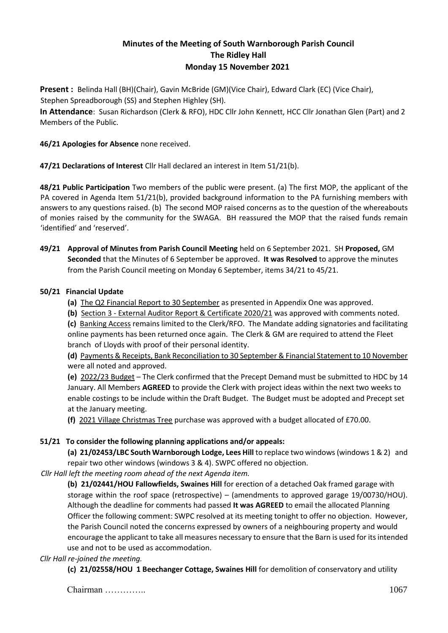# **Minutes of the Meeting of South Warnborough Parish Council The Ridley Hall Monday 15 November 2021**

**Present :** Belinda Hall (BH)(Chair), Gavin McBride (GM)(Vice Chair), Edward Clark (EC) (Vice Chair), Stephen Spreadborough (SS) and Stephen Highley (SH).

**In Attendance**: Susan Richardson (Clerk & RFO), HDC Cllr John Kennett, HCC Cllr Jonathan Glen (Part) and 2 Members of the Public.

## **46/21 Apologies for Absence** none received.

**47/21 Declarations of Interest** Cllr Hall declared an interest in Item 51/21(b).

**48/21 Public Participation** Two members of the public were present. (a) The first MOP, the applicant of the PA covered in Agenda Item 51/21(b), provided background information to the PA furnishing members with answers to any questions raised. (b) The second MOP raised concerns as to the question of the whereabouts of monies raised by the community for the SWAGA. BH reassured the MOP that the raised funds remain 'identified' and 'reserved'.

**49/21 Approval of Minutes from Parish Council Meeting** held on 6 September 2021. SH **Proposed,** GM **Seconded** that the Minutes of 6 September be approved. **It was Resolved** to approve the minutes from the Parish Council meeting on Monday 6 September, items 34/21 to 45/21.

# **50/21 Financial Update**

- **(a)** The Q2 Financial Report to 30 September as presented in Appendix One was approved.
- **(b)** Section 3 External Auditor Report & Certificate 2020/21 was approved with comments noted.

**(c)** Banking Access remains limited to the Clerk/RFO. The Mandate adding signatories and facilitating online payments has been returned once again. The Clerk & GM are required to attend the Fleet branch of Lloyds with proof of their personal identity.

**(d)** Payments & Receipts, Bank Reconciliation to 30 September & Financial Statement to 10 November were all noted and approved.

**(e)** 2022/23 Budget – The Clerk confirmed that the Precept Demand must be submitted to HDC by 14 January. All Members **AGREED** to provide the Clerk with project ideas within the next two weeks to enable costings to be include within the Draft Budget. The Budget must be adopted and Precept set at the January meeting.

**(f)** 2021 Village Christmas Tree purchase was approved with a budget allocated of £70.00.

### **51/21 To consider the following planning applications and/or appeals:**

**(a) 21/02453/LBC South Warnborough Lodge, Lees Hill** to replace two windows (windows 1 & 2) and repair two other windows (windows 3 & 4). SWPC offered no objection.

*Cllr Hall left the meeting room ahead of the next Agenda item.* 

**(b) 21/02441/HOU Fallowfields, Swaines Hill** for erection of a detached Oak framed garage with storage within the roof space (retrospective) – (amendments to approved garage 19/00730/HOU). Although the deadline for comments had passed **It was AGREED** to email the allocated Planning Officer the following comment: SWPC resolved at its meeting tonight to offer no objection. However, the Parish Council noted the concerns expressed by owners of a neighbouring property and would encourage the applicant to take all measures necessary to ensure that the Barn is used for its intended use and not to be used as accommodation.

*Cllr Hall re-joined the meeting.* 

**(c) 21/02558/HOU 1 Beechanger Cottage, Swaines Hill** for demolition of conservatory and utility

Chairman ………….. 1067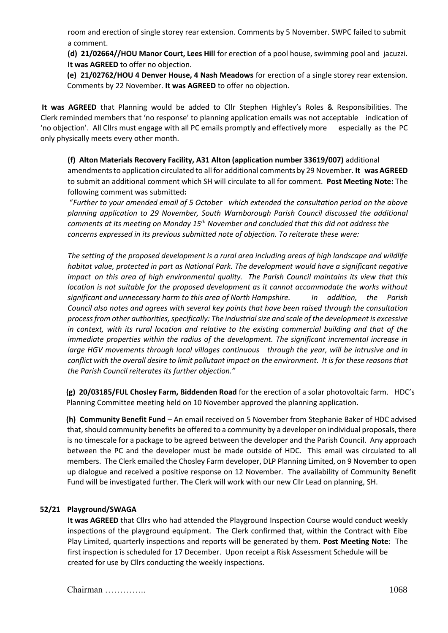room and erection of single storey rear extension. Comments by 5 November. SWPC failed to submit a comment.

**(d) 21/02664//HOU Manor Court, Lees Hill** for erection of a pool house, swimming pool and jacuzzi. **It was AGREED** to offer no objection.

**(e) 21/02762/HOU 4 Denver House, 4 Nash Meadows** for erection of a single storey rear extension. Comments by 22 November. **It was AGREED** to offer no objection.

**It was AGREED** that Planning would be added to Cllr Stephen Highley's Roles & Responsibilities. The Clerk reminded members that 'no response' to planning application emails was not acceptable indication of 'no objection'. All Cllrs must engage with all PC emails promptly and effectively more especially as the PC only physically meets every other month.

**(f) Alton Materials Recovery Facility, A31 Alton (application number 33619/007)** additional amendments to application circulated to all for additional comments by 29 November. **It was AGREED**  to submit an additional comment which SH will circulate to all for comment. **Post Meeting Note:** The following comment was submitted**:** 

"*Further to your amended email of 5 October which extended the consultation period on the above planning application to 29 November, South Warnborough Parish Council discussed the additional comments at its meeting on Monday 15th November and concluded that this did not address the concerns expressed in its previous submitted note of objection. To reiterate these were:* 

*The setting of the proposed development is a rural area including areas of high landscape and wildlife habitat value, protected in part as National Park. The development would have a significant negative impact on this area of high environmental quality. The Parish Council maintains its view that this location is not suitable for the proposed development as it cannot accommodate the works without significant and unnecessary harm to this area of North Hampshire. In addition, the Parish Council also notes and agrees with several key points that have been raised through the consultation process from other authorities, specifically: The industrial size and scale of the development is excessive in context, with its rural location and relative to the existing commercial building and that of the immediate properties within the radius of the development. The significant incremental increase in*  large HGV movements through local villages continuous through the year, will be intrusive and in *conflict with the overall desire to limit pollutant impact on the environment. It is for these reasons that the Parish Council reiterates its further objection."* 

 **(g) 20/03185/FUL Chosley Farm, Biddenden Road** for the erection of a solar photovoltaic farm. HDC's Planning Committee meeting held on 10 November approved the planning application.

 **(h) Community Benefit Fund** – An email received on 5 November from Stephanie Baker of HDC advised that, should community benefits be offered to a community by a developer on individual proposals, there is no timescale for a package to be agreed between the developer and the Parish Council. Any approach between the PC and the developer must be made outside of HDC. This email was circulated to all members. The Clerk emailed the Chosley Farm developer, DLP Planning Limited, on 9 November to open up dialogue and received a positive response on 12 November. The availability of Community Benefit Fund will be investigated further. The Clerk will work with our new Cllr Lead on planning, SH.

### **52/21 Playground/SWAGA**

**It was AGREED** that Cllrs who had attended the Playground Inspection Course would conduct weekly inspections of the playground equipment. The Clerk confirmed that, within the Contract with Eibe Play Limited, quarterly inspections and reports will be generated by them. **Post Meeting Note**: The first inspection is scheduled for 17 December. Upon receipt a Risk Assessment Schedule will be created for use by Cllrs conducting the weekly inspections.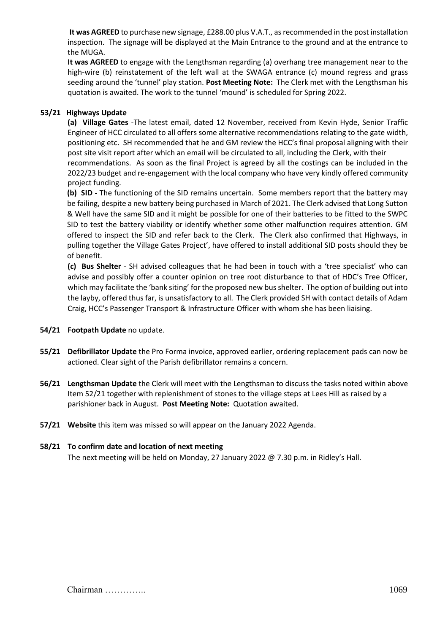**It was AGREED** to purchase new signage, £288.00 plus V.A.T., as recommended in the post installation inspection. The signage will be displayed at the Main Entrance to the ground and at the entrance to the MUGA.

**It was AGREED** to engage with the Lengthsman regarding (a) overhang tree management near to the high-wire (b) reinstatement of the left wall at the SWAGA entrance (c) mound regress and grass seeding around the 'tunnel' play station. **Post Meeting Note:** The Clerk met with the Lengthsman his quotation is awaited. The work to the tunnel 'mound' is scheduled for Spring 2022.

### **53/21 Highways Update**

**(a) Village Gates** -The latest email, dated 12 November, received from Kevin Hyde, Senior Traffic Engineer of HCC circulated to all offers some alternative recommendations relating to the gate width, positioning etc. SH recommended that he and GM review the HCC's final proposal aligning with their post site visit report after which an email will be circulated to all, including the Clerk, with their recommendations. As soon as the final Project is agreed by all the costings can be included in the 2022/23 budget and re-engagement with the local company who have very kindly offered community project funding.

**(b) SID -** The functioning of the SID remains uncertain. Some members report that the battery may be failing, despite a new battery being purchased in March of 2021. The Clerk advised that Long Sutton & Well have the same SID and it might be possible for one of their batteries to be fitted to the SWPC SID to test the battery viability or identify whether some other malfunction requires attention. GM offered to inspect the SID and refer back to the Clerk. The Clerk also confirmed that Highways, in pulling together the Village Gates Project', have offered to install additional SID posts should they be of benefit.

**(c) Bus Shelter** - SH advised colleagues that he had been in touch with a 'tree specialist' who can advise and possibly offer a counter opinion on tree root disturbance to that of HDC's Tree Officer, which may facilitate the 'bank siting' for the proposed new bus shelter. The option of building out into the layby, offered thus far, is unsatisfactory to all. The Clerk provided SH with contact details of Adam Craig, HCC's Passenger Transport & Infrastructure Officer with whom she has been liaising.

- **54/21 Footpath Update** no update.
- **55/21 Defibrillator Update** the Pro Forma invoice, approved earlier, ordering replacement pads can now be actioned. Clear sight of the Parish defibrillator remains a concern.
- **56/21 Lengthsman Update** the Clerk will meet with the Lengthsman to discuss the tasks noted within above Item 52/21 together with replenishment of stones to the village steps at Lees Hill as raised by a parishioner back in August. **Post Meeting Note:** Quotation awaited.
- **57/21 Website** this item was missed so will appear on the January 2022 Agenda.

# **58/21 To confirm date and location of next meeting**

The next meeting will be held on Monday, 27 January 2022  $\omega$  7.30 p.m. in Ridley's Hall.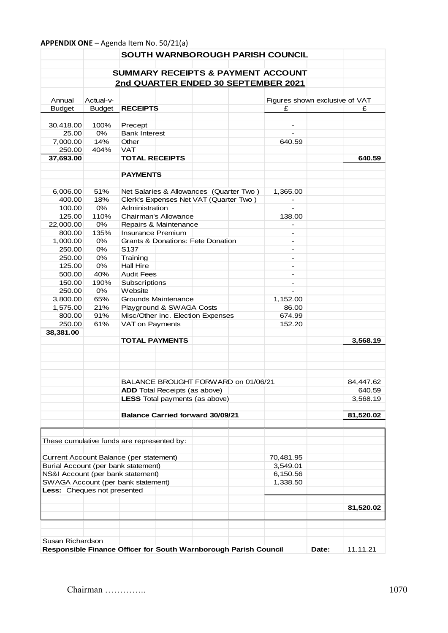# **APPENDIX ONE** – Agenda Item No. 50/21(a)

|                                                                               |               | SOUTH WARNBOROUGH PARISH COUNCIL                                 |                                |       |           |
|-------------------------------------------------------------------------------|---------------|------------------------------------------------------------------|--------------------------------|-------|-----------|
|                                                                               |               |                                                                  |                                |       |           |
|                                                                               |               | <b>SUMMARY RECEIPTS &amp; PAYMENT ACCOUNT</b>                    |                                |       |           |
|                                                                               |               | 2nd QUARTER ENDED 30 SEPTEMBER 2021                              |                                |       |           |
| Annual                                                                        | Actual-v-     |                                                                  | Figures shown exclusive of VAT |       |           |
| <b>Budget</b>                                                                 | <b>Budget</b> | <b>RECEIPTS</b>                                                  | £                              |       | £         |
|                                                                               |               |                                                                  |                                |       |           |
| 30,418.00                                                                     | 100%          | Precept                                                          |                                |       |           |
| 25.00                                                                         | $0\%$         | <b>Bank Interest</b>                                             |                                |       |           |
| 7,000.00                                                                      | 14%           | Other                                                            | 640.59                         |       |           |
| 250.00                                                                        | 404%          | <b>VAT</b>                                                       |                                |       |           |
| 37,693.00                                                                     |               | <b>TOTAL RECEIPTS</b>                                            |                                |       | 640.59    |
|                                                                               |               | <b>PAYMENTS</b>                                                  |                                |       |           |
|                                                                               |               |                                                                  |                                |       |           |
| 6,006.00                                                                      | 51%           | Net Salaries & Allowances (Quarter Two)                          | 1,365.00                       |       |           |
| 400.00                                                                        | 18%           | Clerk's Expenses Net VAT (Quarter Two)                           |                                |       |           |
| 100.00                                                                        | 0%            | Administration                                                   | $\overline{\phantom{0}}$       |       |           |
| 125.00                                                                        | 110%          | Chairman's Allowance                                             | 138.00                         |       |           |
| 22,000.00                                                                     | 0%            | Repairs & Maintenance                                            |                                |       |           |
| 800.00                                                                        | 135%          | Insurance Premium                                                |                                |       |           |
| 1,000.00                                                                      | 0%            | Grants & Donations: Fete Donation                                |                                |       |           |
| 250.00                                                                        | $0\%$         | S <sub>137</sub>                                                 |                                |       |           |
| 250.00                                                                        | $0\%$         | Training                                                         | $\overline{a}$                 |       |           |
| 125.00                                                                        | 0%            | <b>Hall Hire</b>                                                 | $\overline{\phantom{a}}$       |       |           |
| 500.00                                                                        | 40%           | <b>Audit Fees</b>                                                |                                |       |           |
| 150.00                                                                        | 190%          | Subscriptions                                                    |                                |       |           |
| 250.00                                                                        | 0%            | Website                                                          |                                |       |           |
| 3,800.00                                                                      | 65%           | <b>Grounds Maintenance</b>                                       | 1,152.00                       |       |           |
| 1,575.00                                                                      | 21%           | Playground & SWAGA Costs                                         | 86.00                          |       |           |
| 800.00                                                                        | 91%           | Misc/Other inc. Election Expenses                                | 674.99                         |       |           |
|                                                                               |               |                                                                  |                                |       |           |
| 250.00<br>38,381.00                                                           | 61%           | VAT on Payments                                                  | 152.20                         |       |           |
|                                                                               |               | <b>TOTAL PAYMENTS</b>                                            |                                |       |           |
|                                                                               |               |                                                                  |                                |       | 3,568.19  |
|                                                                               |               |                                                                  |                                |       |           |
|                                                                               |               |                                                                  |                                |       |           |
|                                                                               |               |                                                                  |                                |       |           |
|                                                                               |               | BALANCE BROUGHT FORWARD on 01/06/21                              |                                |       | 84,447.62 |
|                                                                               |               | <b>ADD</b> Total Receipts (as above)                             |                                |       | 640.59    |
|                                                                               |               | <b>LESS</b> Total payments (as above)                            |                                |       | 3,568.19  |
|                                                                               |               | <b>Balance Carried forward 30/09/21</b>                          |                                |       | 81,520.02 |
|                                                                               |               |                                                                  |                                |       |           |
|                                                                               |               | These cumulative funds are represented by:                       |                                |       |           |
|                                                                               |               |                                                                  |                                |       |           |
|                                                                               |               | Current Account Balance (per statement)                          | 70,481.95                      |       |           |
|                                                                               |               | Burial Account (per bank statement)                              | 3,549.01                       |       |           |
| NS&I Account (per bank statement)<br>6,150.56                                 |               |                                                                  |                                |       |           |
| SWAGA Account (per bank statement)<br>1,338.50<br>Less: Cheques not presented |               |                                                                  |                                |       |           |
|                                                                               |               |                                                                  |                                |       |           |
|                                                                               |               |                                                                  |                                |       | 81,520.02 |
|                                                                               |               |                                                                  |                                |       |           |
|                                                                               |               |                                                                  |                                |       |           |
| Susan Richardson                                                              |               |                                                                  |                                |       |           |
|                                                                               |               | Responsible Finance Officer for South Warnborough Parish Council |                                | Date: | 11.11.21  |